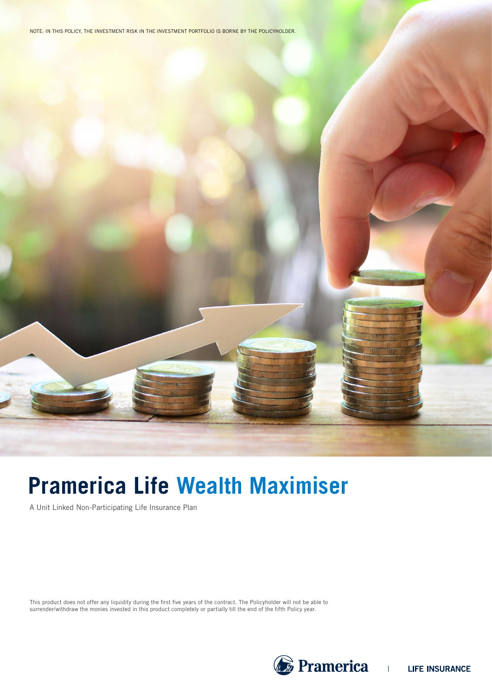NOTE: IN THIS POLICY, THE INVESTMENT RISK IN THE INVESTMENT PORTFOLIO IS BORNE BY THE POLICYHOLDER.

# **Pramerica Life Wealth Maximiser**

A Unit Linked Non-Participating Life Insurance Plan

This product does not offer any liquidity during the first five years of the contract. The Policyholder will not be able to surrender/withdraw the monies invested in this product completely or partially till the end of the fifth Policy year.

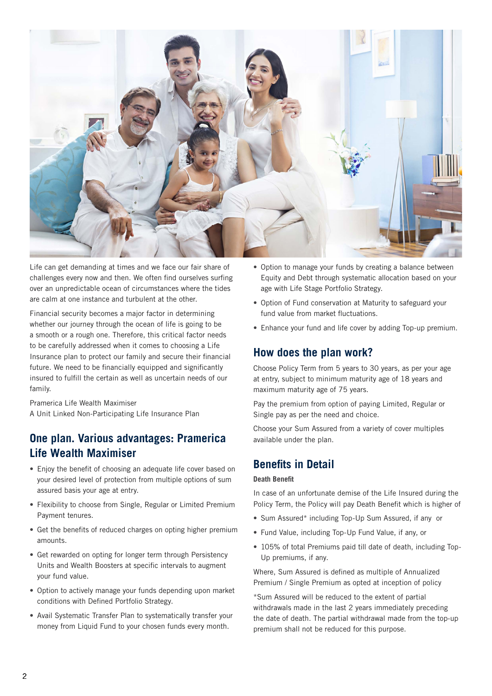

Life can get demanding at times and we face our fair share of challenges every now and then. We often find ourselves surfing over an unpredictable ocean of circumstances where the tides are calm at one instance and turbulent at the other.

Financial security becomes a major factor in determining whether our journey through the ocean of life is going to be a smooth or a rough one. Therefore, this critical factor needs to be carefully addressed when it comes to choosing a Life Insurance plan to protect our family and secure their financial future. We need to be financially equipped and significantly insured to fulfill the certain as well as uncertain needs of our family.

Pramerica Life Wealth Maximiser A Unit Linked Non-Participating Life Insurance Plan

### **One plan. Various advantages: Pramerica Life Wealth Maximiser**

- **•** Enjoy the benefit of choosing an adequate life cover based on your desired level of protection from multiple options of sum assured basis your age at entry.
- **•** Flexibility to choose from Single, Regular or Limited Premium Payment tenures.
- **•** Get the benefits of reduced charges on opting higher premium amounts.
- **•** Get rewarded on opting for longer term through Persistency Units and Wealth Boosters at specific intervals to augment your fund value.
- **•** Option to actively manage your funds depending upon market conditions with Defined Portfolio Strategy.
- **•** Avail Systematic Transfer Plan to systematically transfer your money from Liquid Fund to your chosen funds every month.
- **•** Option to manage your funds by creating a balance between Equity and Debt through systematic allocation based on your age with Life Stage Portfolio Strategy.
- **•** Option of Fund conservation at Maturity to safeguard your fund value from market fluctuations.
- **•** Enhance your fund and life cover by adding Top-up premium.

### **How does the plan work?**

Choose Policy Term from 5 years to 30 years, as per your age at entry, subject to minimum maturity age of 18 years and maximum maturity age of 75 years.

Pay the premium from option of paying Limited, Regular or Single pay as per the need and choice.

Choose your Sum Assured from a variety of cover multiples available under the plan.

### **Benefits in Detail**

#### **Death Benefit**

In case of an unfortunate demise of the Life Insured during the Policy Term, the Policy will pay Death Benefit which is higher of

- **•** Sum Assured\* including Top-Up Sum Assured, if any or
- **•** Fund Value, including Top-Up Fund Value, if any, or
- **•** 105% of total Premiums paid till date of death, including Top-Up premiums, if any.

Where, Sum Assured is defined as multiple of Annualized Premium / Single Premium as opted at inception of policy

\*Sum Assured will be reduced to the extent of partial withdrawals made in the last 2 years immediately preceding the date of death. The partial withdrawal made from the top-up premium shall not be reduced for this purpose.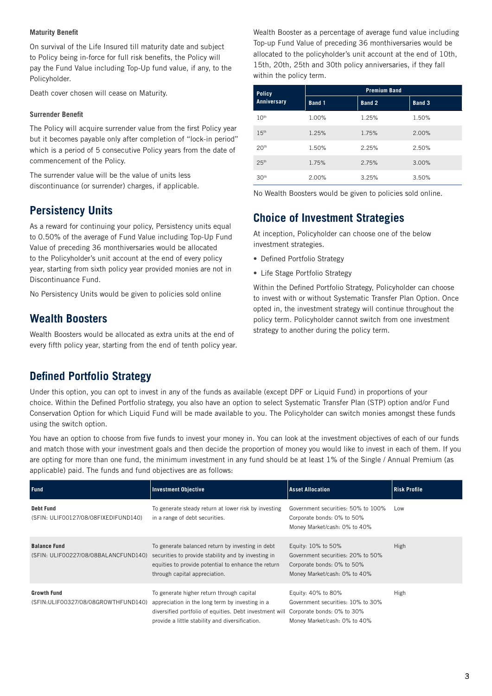#### **Maturity Benefit**

On survival of the Life Insured till maturity date and subject to Policy being in-force for full risk benefits, the Policy will pay the Fund Value including Top-Up fund value, if any, to the Policyholder.

Death cover chosen will cease on Maturity.

#### **Surrender Benefit**

The Policy will acquire surrender value from the first Policy year but it becomes payable only after completion of "lock-in period" which is a period of 5 consecutive Policy years from the date of commencement of the Policy.

The surrender value will be the value of units less discontinuance (or surrender) charges, if applicable.

### **Persistency Units**

As a reward for continuing your policy, Persistency units equal to 0.50% of the average of Fund Value including Top-Up Fund Value of preceding 36 monthiversaries would be allocated to the Policyholder's unit account at the end of every policy year, starting from sixth policy year provided monies are not in Discontinuance Fund.

No Persistency Units would be given to policies sold online

### **Wealth Boosters**

Wealth Boosters would be allocated as extra units at the end of every fifth policy year, starting from the end of tenth policy year.

Wealth Booster as a percentage of average fund value including Top-up Fund Value of preceding 36 monthiversaries would be allocated to the policyholder's unit account at the end of 10th, 15th, 20th, 25th and 30th policy anniversaries, if they fall within the policy term.

| <b>Policy</b><br>Anniversary | <b>Premium Band</b> |        |        |  |
|------------------------------|---------------------|--------|--------|--|
|                              | Band 1              | Band 2 | Band 3 |  |
| 10 <sup>th</sup>             | 1.00%               | 1.25%  | 1.50%  |  |
| 15 <sup>th</sup>             | 1.25%               | 1.75%  | 2.00%  |  |
| 20 <sup>th</sup>             | 1.50%               | 2.25%  | 2.50%  |  |
| 25 <sup>th</sup>             | 1.75%               | 2.75%  | 3.00%  |  |
| 30 <sup>th</sup>             | 2.00%               | 3.25%  | 3.50%  |  |

No Wealth Boosters would be given to policies sold online.

### **Choice of Investment Strategies**

At inception, Policyholder can choose one of the below investment strategies.

- **•** Defined Portfolio Strategy
- **•** Life Stage Portfolio Strategy

Within the Defined Portfolio Strategy, Policyholder can choose to invest with or without Systematic Transfer Plan Option. Once opted in, the investment strategy will continue throughout the policy term. Policyholder cannot switch from one investment strategy to another during the policy term.

### **Defined Portfolio Strategy**

Under this option, you can opt to invest in any of the funds as available (except DPF or Liquid Fund) in proportions of your choice. Within the Defined Portfolio strategy, you also have an option to select Systematic Transfer Plan (STP) option and/or Fund Conservation Option for which Liquid Fund will be made available to you. The Policyholder can switch monies amongst these funds using the switch option.

You have an option to choose from five funds to invest your money in. You can look at the investment objectives of each of our funds and match those with your investment goals and then decide the proportion of money you would like to invest in each of them. If you are opting for more than one fund, the minimum investment in any fund should be at least 1% of the Single / Annual Premium (as applicable) paid. The funds and fund objectives are as follows:

| <b>Fund</b>                                                 | <b>Investment Objective</b>                                                                                                                                                                                | <b>Asset Allocation</b>                                                                                               | <b>Risk Profile</b> |
|-------------------------------------------------------------|------------------------------------------------------------------------------------------------------------------------------------------------------------------------------------------------------------|-----------------------------------------------------------------------------------------------------------------------|---------------------|
| <b>Debt Fund</b><br>(SFIN: ULIF00127/08/08FIXEDIFUND140)    | To generate steady return at lower risk by investing<br>in a range of debt securities.                                                                                                                     | Government securities: 50% to 100%<br>Corporate bonds: 0% to 50%<br>Money Market/cash: 0% to 40%                      | Low                 |
| <b>Balance Fund</b><br>(SFIN: ULIF00227/08/08BALANCFUND140) | To generate balanced return by investing in debt<br>securities to provide stability and by investing in<br>equities to provide potential to enhance the return<br>through capital appreciation.            | Equity: 10% to 50%<br>Government securities: 20% to 50%<br>Corporate bonds: 0% to 50%<br>Money Market/cash: 0% to 40% | <b>High</b>         |
| <b>Growth Fund</b><br>(SFIN: ULIFO0327/08/08GROWTHFUND140)  | To generate higher return through capital<br>appreciation in the long term by investing in a<br>diversified portfolio of equities. Debt investment will<br>provide a little stability and diversification. | Equity: 40% to 80%<br>Government securities: 10% to 30%<br>Corporate bonds: 0% to 30%<br>Money Market/cash: 0% to 40% | <b>High</b>         |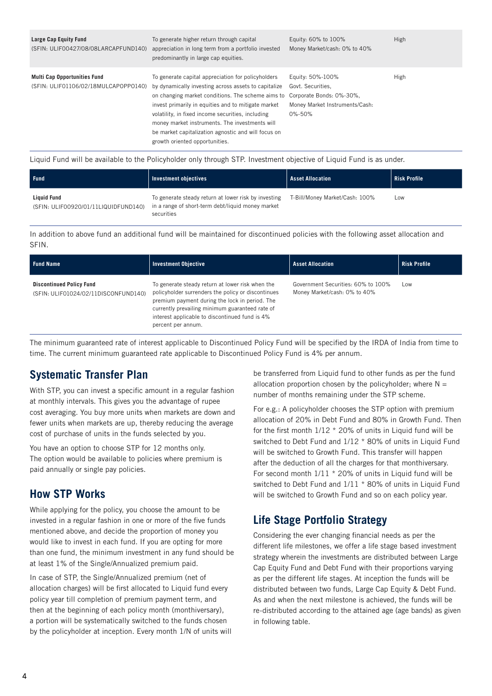| Large Cap Equity Fund<br>(SFIN: ULIF00427/08/08LARCAPFUND140)               | To generate higher return through capital<br>appreciation in long term from a portfolio invested<br>predominantly in large cap equities.                                                                                                                                                                                                                                                                                                        | Equity: 60% to 100%<br>Money Market/cash: 0% to 40%                               | High |
|-----------------------------------------------------------------------------|-------------------------------------------------------------------------------------------------------------------------------------------------------------------------------------------------------------------------------------------------------------------------------------------------------------------------------------------------------------------------------------------------------------------------------------------------|-----------------------------------------------------------------------------------|------|
| <b>Multi Cap Opportunities Fund</b><br>(SFIN: ULIF01106/02/18MULCAPOPP0140) | To generate capital appreciation for policyholders<br>by dynamically investing across assets to capitalize<br>on changing market conditions. The scheme aims to Corporate Bonds: 0%-30%,<br>invest primarily in equities and to mitigate market<br>volatility, in fixed income securities, including<br>money market instruments. The investments will<br>be market capitalization agnostic and will focus on<br>growth oriented opportunities. | Equity: 50%-100%<br>Govt. Securities.<br>Money Market Instruments/Cash:<br>0%-50% | High |

Liquid Fund will be available to the Policyholder only through STP. Investment objective of Liquid Fund is as under.

| <b>Fund</b>                                                | Investment objectives                                                                                                   | <b>Asset Allocation</b>        | <b>Risk Profile</b> |
|------------------------------------------------------------|-------------------------------------------------------------------------------------------------------------------------|--------------------------------|---------------------|
| <b>Liauid Fund</b><br>(SFIN: ULIF00920/01/11LIQUIDFUND140) | To generate steady return at lower risk by investing<br>in a range of short-term debt/liquid money market<br>securities | T-Bill/Money Market/Cash: 100% | Low                 |

In addition to above fund an additional fund will be maintained for discontinued policies with the following asset allocation and SFIN.

| <b>Fund Name</b>                                                        | <b>Investment Objective</b>                                                                                                                                                                                                                                                         | <b>Asset Allocation</b>                                            | <b>Risk Profile</b> |
|-------------------------------------------------------------------------|-------------------------------------------------------------------------------------------------------------------------------------------------------------------------------------------------------------------------------------------------------------------------------------|--------------------------------------------------------------------|---------------------|
| <b>Discontinued Policy Fund</b><br>(SFIN: ULIF01024/02/11DISCONFUND140) | To generate steady return at lower risk when the<br>policyholder surrenders the policy or discontinues<br>premium payment during the lock in period. The<br>currently prevailing minimum guaranteed rate of<br>interest applicable to discontinued fund is 4%<br>percent per annum. | Government Securities: 60% to 100%<br>Money Market/cash: 0% to 40% | Low                 |

The minimum guaranteed rate of interest applicable to Discontinued Policy Fund will be specified by the IRDA of India from time to time. The current minimum guaranteed rate applicable to Discontinued Policy Fund is 4% per annum.

### **Systematic Transfer Plan**

With STP, you can invest a specific amount in a regular fashion at monthly intervals. This gives you the advantage of rupee cost averaging. You buy more units when markets are down and fewer units when markets are up, thereby reducing the average cost of purchase of units in the funds selected by you.

You have an option to choose STP for 12 months only. The option would be available to policies where premium is paid annually or single pay policies.

### **How STP Works**

While applying for the policy, you choose the amount to be invested in a regular fashion in one or more of the five funds mentioned above, and decide the proportion of money you would like to invest in each fund. If you are opting for more than one fund, the minimum investment in any fund should be at least 1% of the Single/Annualized premium paid.

In case of STP, the Single/Annualized premium (net of allocation charges) will be first allocated to Liquid fund every policy year till completion of premium payment term, and then at the beginning of each policy month (monthiversary), a portion will be systematically switched to the funds chosen by the policyholder at inception. Every month 1/N of units will be transferred from Liquid fund to other funds as per the fund allocation proportion chosen by the policyholder; where  $N =$ number of months remaining under the STP scheme.

For e.g.: A policyholder chooses the STP option with premium allocation of 20% in Debt Fund and 80% in Growth Fund. Then for the first month 1/12 \* 20% of units in Liquid fund will be switched to Debt Fund and 1/12 \* 80% of units in Liquid Fund will be switched to Growth Fund. This transfer will happen after the deduction of all the charges for that monthiversary. For second month 1/11 \* 20% of units in Liquid fund will be switched to Debt Fund and 1/11 \* 80% of units in Liquid Fund will be switched to Growth Fund and so on each policy year.

# **Life Stage Portfolio Strategy**

Considering the ever changing financial needs as per the different life milestones, we offer a life stage based investment strategy wherein the investments are distributed between Large Cap Equity Fund and Debt Fund with their proportions varying as per the different life stages. At inception the funds will be distributed between two funds, Large Cap Equity & Debt Fund. As and when the next milestone is achieved, the funds will be re-distributed according to the attained age (age bands) as given in following table.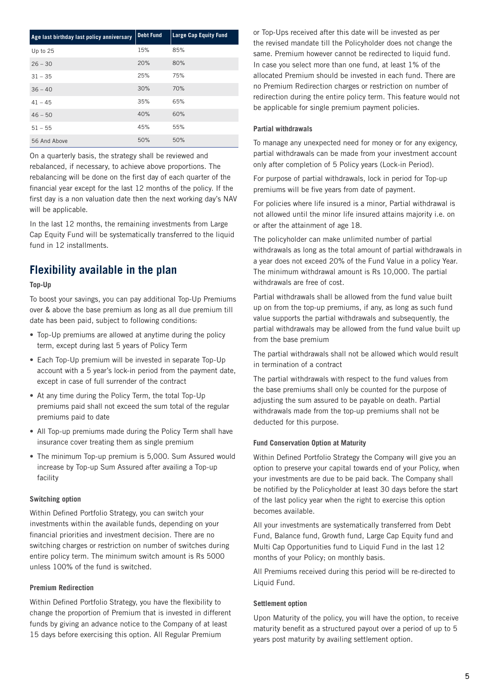| Age last birthday last policy anniversary | Debt Fund | <b>Large Cap Equity Fund</b> |
|-------------------------------------------|-----------|------------------------------|
| Up to 25                                  | 15%       | 85%                          |
| $26 - 30$                                 | 20%       | 80%                          |
| $31 - 35$                                 | 25%       | 75%                          |
| $36 - 40$                                 | 30%       | 70%                          |
| $41 - 45$                                 | 35%       | 65%                          |
| $46 - 50$                                 | 40%       | 60%                          |
| $51 - 55$                                 | 45%       | 55%                          |
| 56 And Above                              | 50%       | 50%                          |

On a quarterly basis, the strategy shall be reviewed and rebalanced, if necessary, to achieve above proportions. The rebalancing will be done on the first day of each quarter of the financial year except for the last 12 months of the policy. If the first day is a non valuation date then the next working day's NAV will be applicable.

In the last 12 months, the remaining investments from Large Cap Equity Fund will be systematically transferred to the liquid fund in 12 installments.

# **Flexibility available in the plan**

#### **Top-Up**

To boost your savings, you can pay additional Top-Up Premiums over & above the base premium as long as all due premium till date has been paid, subject to following conditions:

- **•** Top-Up premiums are allowed at anytime during the policy term, except during last 5 years of Policy Term
- **•** Each Top-Up premium will be invested in separate Top-Up account with a 5 year's lock-in period from the payment date, except in case of full surrender of the contract
- **•** At any time during the Policy Term, the total Top-Up premiums paid shall not exceed the sum total of the regular premiums paid to date
- **•** All Top-up premiums made during the Policy Term shall have insurance cover treating them as single premium
- **•** The minimum Top-up premium is 5,000. Sum Assured would increase by Top-up Sum Assured after availing a Top-up facility

#### **Switching option**

Within Defined Portfolio Strategy, you can switch your investments within the available funds, depending on your financial priorities and investment decision. There are no switching charges or restriction on number of switches during entire policy term. The minimum switch amount is Rs 5000 unless 100% of the fund is switched.

#### **Premium Redirection**

Within Defined Portfolio Strategy, you have the flexibility to change the proportion of Premium that is invested in different funds by giving an advance notice to the Company of at least 15 days before exercising this option. All Regular Premium

or Top-Ups received after this date will be invested as per the revised mandate till the Policyholder does not change the same. Premium however cannot be redirected to liquid fund. In case you select more than one fund, at least 1% of the allocated Premium should be invested in each fund. There are no Premium Redirection charges or restriction on number of redirection during the entire policy term. This feature would not be applicable for single premium payment policies.

#### **Partial withdrawals**

To manage any unexpected need for money or for any exigency, partial withdrawals can be made from your investment account only after completion of 5 Policy years (Lock-in Period).

For purpose of partial withdrawals, lock in period for Top-up premiums will be five years from date of payment.

For policies where life insured is a minor, Partial withdrawal is not allowed until the minor life insured attains majority i.e. on or after the attainment of age 18.

The policyholder can make unlimited number of partial withdrawals as long as the total amount of partial withdrawals in a year does not exceed 20% of the Fund Value in a policy Year. The minimum withdrawal amount is Rs 10,000. The partial withdrawals are free of cost.

Partial withdrawals shall be allowed from the fund value built up on from the top-up premiums, if any, as long as such fund value supports the partial withdrawals and subsequently, the partial withdrawals may be allowed from the fund value built up from the base premium

The partial withdrawals shall not be allowed which would result in termination of a contract

The partial withdrawals with respect to the fund values from the base premiums shall only be counted for the purpose of adjusting the sum assured to be payable on death. Partial withdrawals made from the top-up premiums shall not be deducted for this purpose.

#### **Fund Conservation Option at Maturity**

Within Defined Portfolio Strategy the Company will give you an option to preserve your capital towards end of your Policy, when your investments are due to be paid back. The Company shall be notified by the Policyholder at least 30 days before the start of the last policy year when the right to exercise this option becomes available.

All your investments are systematically transferred from Debt Fund, Balance fund, Growth fund, Large Cap Equity fund and Multi Cap Opportunities fund to Liquid Fund in the last 12 months of your Policy; on monthly basis.

All Premiums received during this period will be re-directed to Liquid Fund.

#### **Settlement option**

Upon Maturity of the policy, you will have the option, to receive maturity benefit as a structured payout over a period of up to 5 years post maturity by availing settlement option.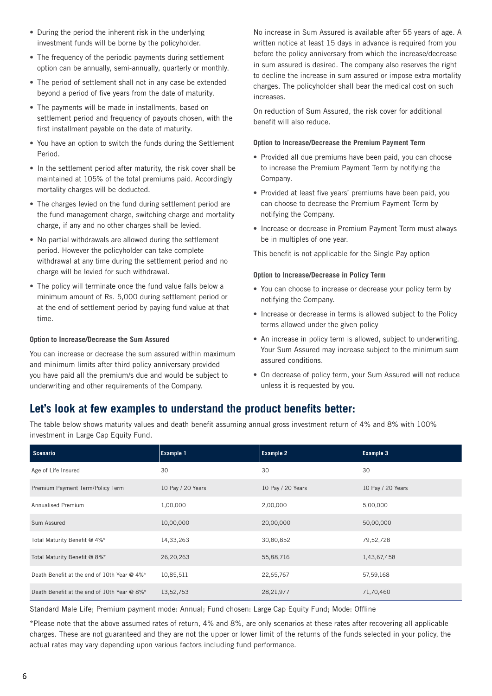- **•** During the period the inherent risk in the underlying investment funds will be borne by the policyholder.
- **•** The frequency of the periodic payments during settlement option can be annually, semi-annually, quarterly or monthly.
- **•** The period of settlement shall not in any case be extended beyond a period of five years from the date of maturity.
- **•** The payments will be made in installments, based on settlement period and frequency of payouts chosen, with the first installment payable on the date of maturity.
- **•** You have an option to switch the funds during the Settlement Period.
- **•** In the settlement period after maturity, the risk cover shall be maintained at 105% of the total premiums paid. Accordingly mortality charges will be deducted.
- **•** The charges levied on the fund during settlement period are the fund management charge, switching charge and mortality charge, if any and no other charges shall be levied.
- **•** No partial withdrawals are allowed during the settlement period. However the policyholder can take complete withdrawal at any time during the settlement period and no charge will be levied for such withdrawal.
- **•** The policy will terminate once the fund value falls below a minimum amount of Rs. 5,000 during settlement period or at the end of settlement period by paying fund value at that time.

#### **Option to Increase/Decrease the Sum Assured**

You can increase or decrease the sum assured within maximum and minimum limits after third policy anniversary provided you have paid all the premium/s due and would be subject to underwriting and other requirements of the Company.

No increase in Sum Assured is available after 55 years of age. A written notice at least 15 days in advance is required from you before the policy anniversary from which the increase/decrease in sum assured is desired. The company also reserves the right to decline the increase in sum assured or impose extra mortality charges. The policyholder shall bear the medical cost on such increases.

On reduction of Sum Assured, the risk cover for additional benefit will also reduce.

#### **Option to Increase/Decrease the Premium Payment Term**

- **•** Provided all due premiums have been paid, you can choose to increase the Premium Payment Term by notifying the Company.
- **•** Provided at least five years' premiums have been paid, you can choose to decrease the Premium Payment Term by notifying the Company.
- **•** Increase or decrease in Premium Payment Term must always be in multiples of one year.

This benefit is not applicable for the Single Pay option

#### **Option to Increase/Decrease in Policy Term**

- **•** You can choose to increase or decrease your policy term by notifying the Company.
- **•** Increase or decrease in terms is allowed subject to the Policy terms allowed under the given policy
- **•** An increase in policy term is allowed, subject to underwriting. Your Sum Assured may increase subject to the minimum sum assured conditions.
- **•** On decrease of policy term, your Sum Assured will not reduce unless it is requested by you.

### **Let's look at few examples to understand the product benefits better:**

The table below shows maturity values and death benefit assuming annual gross investment return of 4% and 8% with 100% investment in Large Cap Equity Fund.

| Scenario                                    | <b>Example 1</b>  | <b>Example 2</b>  | <b>Example 3</b>  |
|---------------------------------------------|-------------------|-------------------|-------------------|
| Age of Life Insured                         | 30                | 30                | 30                |
| Premium Payment Term/Policy Term            | 10 Pay / 20 Years | 10 Pay / 20 Years | 10 Pay / 20 Years |
| <b>Annualised Premium</b>                   | 1,00,000          | 2,00,000          | 5,00,000          |
| Sum Assured                                 | 10,00,000         | 20,00,000         | 50,00,000         |
| Total Maturity Benefit @ 4%*                | 14,33,263         | 30,80,852         | 79,52,728         |
| Total Maturity Benefit @ 8%*                | 26,20,263         | 55,88,716         | 1,43,67,458       |
| Death Benefit at the end of 10th Year @ 4%* | 10,85,511         | 22,65,767         | 57,59,168         |
| Death Benefit at the end of 10th Year @ 8%* | 13,52,753         | 28,21,977         | 71,70,460         |

Standard Male Life; Premium payment mode: Annual; Fund chosen: Large Cap Equity Fund; Mode: Offline

\*Please note that the above assumed rates of return, 4% and 8%, are only scenarios at these rates after recovering all applicable charges. These are not guaranteed and they are not the upper or lower limit of the returns of the funds selected in your policy, the actual rates may vary depending upon various factors including fund performance.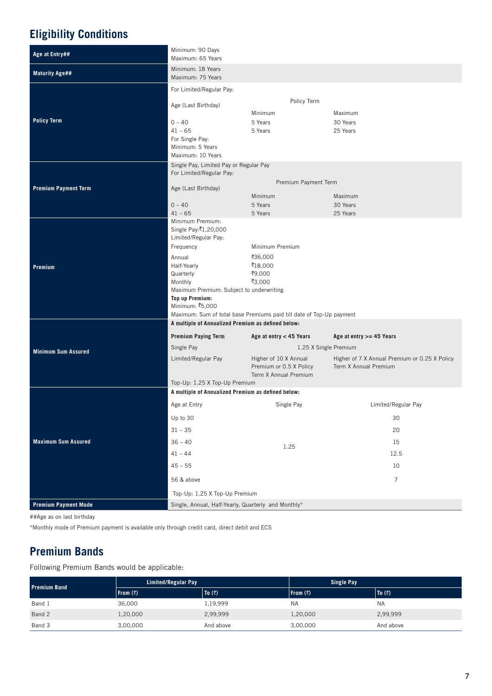# **Eligibility Conditions**

| Age at Entry##              | Minimum: 90 Days<br>Maximum: 65 Years                                                                                                                                                                                   |                                                                                                                                   |                                                                        |  |  |
|-----------------------------|-------------------------------------------------------------------------------------------------------------------------------------------------------------------------------------------------------------------------|-----------------------------------------------------------------------------------------------------------------------------------|------------------------------------------------------------------------|--|--|
| <b>Maturity Age##</b>       | Minimum: 18 Years<br>Maximum: 75 Years                                                                                                                                                                                  |                                                                                                                                   |                                                                        |  |  |
| <b>Policy Term</b>          | For Limited/Regular Pay:<br>Age (Last Birthday)<br>$0 - 40$<br>$41 - 65$<br>For Single Pay:<br>Minimum: 5 Years<br>Maximum: 10 Years                                                                                    | Policy Term<br>Minimum<br>5 Years<br>5 Years                                                                                      | Maximum<br>30 Years<br>25 Years                                        |  |  |
| <b>Premium Payment Term</b> | Single Pay, Limited Pay or Regular Pay<br>For Limited/Regular Pay:<br>Age (Last Birthday)<br>$0 - 40$<br>$41 - 65$                                                                                                      | Premium Payment Term<br>Minimum<br>5 Years<br>5 Years                                                                             | Maximum<br>30 Years<br>25 Years                                        |  |  |
| Premium                     | Minimum Premium:<br>Single Pay:₹1,20,000<br>Limited/Regular Pay:<br>Frequency<br>Annual<br>Half-Yearly<br>Quarterly<br>Monthly<br>Maximum Premium: Subject to underwriting<br><b>Top up Premium:</b><br>Minimum: ₹5,000 | Minimum Premium<br>₹36,000<br>₹18,000<br>₹9,000<br>₹3,000<br>Maximum: Sum of total base Premiums paid till date of Top-Up payment |                                                                        |  |  |
|                             | A multiple of Annualized Premium as defined below:                                                                                                                                                                      |                                                                                                                                   |                                                                        |  |  |
|                             | <b>Premium Paying Term</b>                                                                                                                                                                                              | Age at entry < 45 Years<br>Age at entry $>=$ 45 Years                                                                             |                                                                        |  |  |
| <b>Minimum Sum Assured</b>  | Single Pay<br>Limited/Regular Pay                                                                                                                                                                                       | 1.25 X Single Premium<br>Higher of 10 X Annual<br>Premium or 0.5 X Policy<br>Term X Annual Premium                                | Higher of 7 X Annual Premium or 0.25 X Policy<br>Term X Annual Premium |  |  |
|                             | Top-Up: 1.25 X Top-Up Premium<br>A multiple of Annualized Premium as defined below:                                                                                                                                     |                                                                                                                                   |                                                                        |  |  |
|                             | Age at Entry                                                                                                                                                                                                            | Single Pay                                                                                                                        | Limited/Regular Pay                                                    |  |  |
|                             | Up to 30                                                                                                                                                                                                                |                                                                                                                                   | $30\,$                                                                 |  |  |
|                             | $31 - 35$                                                                                                                                                                                                               |                                                                                                                                   | 20                                                                     |  |  |
| <b>Maximum Sum Assured</b>  | $36 - 40$                                                                                                                                                                                                               |                                                                                                                                   | 15                                                                     |  |  |
|                             | $41 - 44$                                                                                                                                                                                                               | 1.25                                                                                                                              | 12.5                                                                   |  |  |
|                             | $45 - 55$                                                                                                                                                                                                               |                                                                                                                                   | 10                                                                     |  |  |
|                             | 56 & above                                                                                                                                                                                                              |                                                                                                                                   | $\overline{7}$                                                         |  |  |
|                             | Top-Up: 1.25 X Top-Up Premium                                                                                                                                                                                           |                                                                                                                                   |                                                                        |  |  |
| <b>Premium Payment Mode</b> | Single, Annual, Half-Yearly, Quarterly and Monthly*                                                                                                                                                                     |                                                                                                                                   |                                                                        |  |  |

##Age as on last birthday

\*Monthly mode of Premium payment is available only through credit card, direct debit and ECS

# **Premium Bands**

Following Premium Bands would be applicable:

| <b>Premium Band</b> | Limited/Regular Pay |                            | <b>Single Pay</b> |                  |
|---------------------|---------------------|----------------------------|-------------------|------------------|
|                     | From $(3)$          | $\vert$ To $(\bar{\zeta})$ | From (7)          | $ $ To $($ ₹ $)$ |
| Band 1              | 36,000              | l,19,999                   | <b>NA</b>         | <b>NA</b>        |
| Band 2              | 1,20,000            | 2,99,999                   | 1,20,000          | 2,99,999         |
| Band 3              | 3,00,000            | And above                  | 3,00,000          | And above        |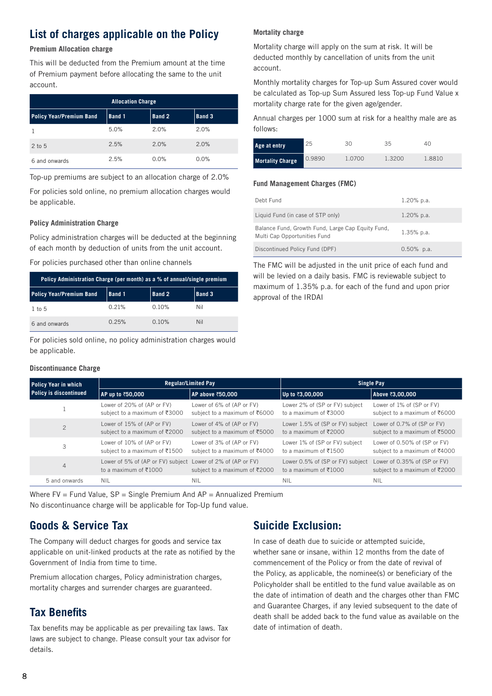## **List of charges applicable on the Policy**

#### **Premium Allocation charge**

This will be deducted from the Premium amount at the time of Premium payment before allocating the same to the unit account.

| <b>Allocation Charge</b>        |        |               |               |  |  |
|---------------------------------|--------|---------------|---------------|--|--|
| <b>Policy Year/Premium Band</b> | Band 1 | <b>Band 2</b> | <b>Band 3</b> |  |  |
|                                 | 5.0%   | 2.0%          | 2.0%          |  |  |
| $2$ to $5$                      | 2.5%   | 2.0%          | 2.0%          |  |  |
| 6 and onwards                   | 2.5%   | 0.0%          | 0.0%          |  |  |

Top-up premiums are subject to an allocation charge of 2.0%

For policies sold online, no premium allocation charges would be applicable.

#### **Policy Administration Charge**

Policy administration charges will be deducted at the beginning of each month by deduction of units from the unit account.

For policies purchased other than online channels

| Policy Administration Charge (per month) as a % of annual/single premium |        |        |        |  |
|--------------------------------------------------------------------------|--------|--------|--------|--|
| <b>Policy Year/Premium Band</b>                                          | Band 1 | Band 2 | Band 3 |  |
| $1$ to $5$                                                               | 0.21%  | 0.10%  | Nil    |  |
| 6 and onwards                                                            | 0.25%  | 0.10%  | Nil    |  |

For policies sold online, no policy administration charges would be applicable.

#### **Discontinuance Charge**

#### **Mortality charge**

Mortality charge will apply on the sum at risk. It will be deducted monthly by cancellation of units from the unit account.

Monthly mortality charges for Top-up Sum Assured cover would be calculated as Top-up Sum Assured less Top-up Fund Value x mortality charge rate for the given age/gender.

Annual charges per 1000 sum at risk for a healthy male are as follows:

| Age at entry            | 25     | 30     | 35     | 40     |
|-------------------------|--------|--------|--------|--------|
| <b>Mortality Charge</b> | 0.9890 | 1.0700 | 1.3200 | 1.8810 |

#### **Fund Management Charges (FMC)**

| Debt Fund                                                                         | $1.20\%$ p.a. |
|-----------------------------------------------------------------------------------|---------------|
| Liquid Fund (in case of STP only)                                                 | $1.20\%$ p.a. |
| Balance Fund, Growth Fund, Large Cap Equity Fund,<br>Multi Cap Opportunities Fund | $1.35%$ p.a.  |
| Discontinued Policy Fund (DPF)                                                    | $0.50\%$ p.a. |

The FMC will be adjusted in the unit price of each fund and will be levied on a daily basis. FMC is reviewable subject to maximum of 1.35% p.a. for each of the fund and upon prior approval of the IRDAI

| <b>Policy Year in which</b><br><b>Policy is discontinued</b> | <b>Regular/Limited Pay</b>                                                                          |                                                            | Single Pay                                                                |                                                               |
|--------------------------------------------------------------|-----------------------------------------------------------------------------------------------------|------------------------------------------------------------|---------------------------------------------------------------------------|---------------------------------------------------------------|
|                                                              | AP up to ₹50,000                                                                                    | AP above ₹50,000                                           | Up to ₹3,00,000                                                           | Above ₹3,00,000                                               |
|                                                              | Lower of 20% of (AP or FV)<br>subject to a maximum of ₹3000                                         | Lower of 6% of (AP or FV)<br>subject to a maximum of ₹6000 | Lower 2% of (SP or FV) subject<br>to a maximum of $\overline{\xi}3000$    | Lower of 1% of (SP or FV)<br>subject to a maximum of ₹6000    |
| $\overline{2}$                                               | Lower of 15% of (AP or FV)<br>subject to a maximum of ₹2000                                         | Lower of 4% of (AP or FV)<br>subject to a maximum of ₹5000 | Lower 1.5% of (SP or FV) subject<br>to a maximum of $\overline{\xi}$ 2000 | Lower of 0.7% of (SP or FV)<br>subject to a maximum of ₹5000  |
| 3                                                            | Lower of 10% of (AP or FV)<br>subject to a maximum of ₹1500                                         | Lower of 3% of (AP or FV)<br>subject to a maximum of ₹4000 | Lower 1% of (SP or FV) subject<br>to a maximum of ₹1500                   | Lower of 0.50% of (SP or FV)<br>subject to a maximum of ₹4000 |
| 4                                                            | Lower of 5% of (AP or FV) subject Lower of 2% of (AP or FV)<br>to a maximum of $\overline{\xi}1000$ | subject to a maximum of ₹2000                              | Lower 0.5% of (SP or FV) subject<br>to a maximum of $\overline{\xi}1000$  | Lower of 0.35% of (SP or FV)<br>subject to a maximum of ₹2000 |
| 5 and onwards                                                | <b>NIL</b>                                                                                          | <b>NIL</b>                                                 | <b>NIL</b>                                                                | <b>NIL</b>                                                    |

Where  $FV = Fund Value$ ,  $SP = Single Premium And AP = Annualized Premium$ No discontinuance charge will be applicable for Top-Up fund value.

### **Goods & Service Tax**

The Company will deduct charges for goods and service tax applicable on unit-linked products at the rate as notified by the Government of India from time to time.

Premium allocation charges, Policy administration charges, mortality charges and surrender charges are guaranteed.

### **Tax Benefits**

Tax benefits may be applicable as per prevailing tax laws. Tax laws are subject to change. Please consult your tax advisor for details.

### **Suicide Exclusion:**

In case of death due to suicide or attempted suicide, whether sane or insane, within 12 months from the date of commencement of the Policy or from the date of revival of the Policy, as applicable, the nominee(s) or beneficiary of the Policyholder shall be entitled to the fund value available as on the date of intimation of death and the charges other than FMC and Guarantee Charges, if any levied subsequent to the date of death shall be added back to the fund value as available on the date of intimation of death.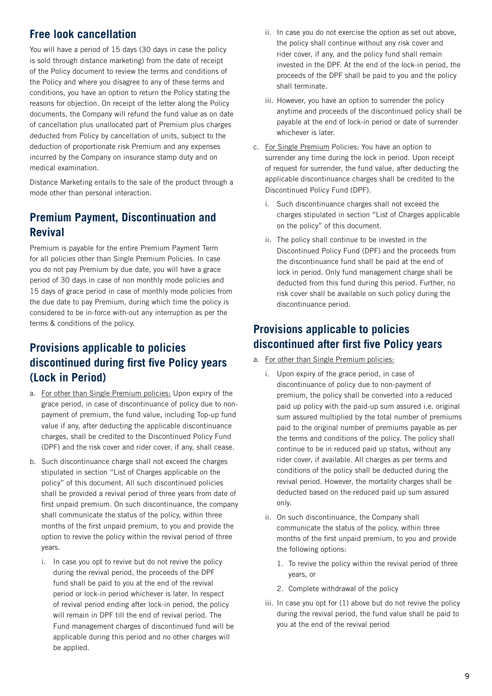### **Free look cancellation**

You will have a period of 15 days (30 days in case the policy is sold through distance marketing) from the date of receipt of the Policy document to review the terms and conditions of the Policy and where you disagree to any of these terms and conditions, you have an option to return the Policy stating the reasons for objection. On receipt of the letter along the Policy documents, the Company will refund the fund value as on date of cancellation plus unallocated part of Premium plus charges deducted from Policy by cancellation of units, subject to the deduction of proportionate risk Premium and any expenses incurred by the Company on insurance stamp duty and on medical examination.

Distance Marketing entails to the sale of the product through a mode other than personal interaction.

# **Premium Payment, Discontinuation and Revival**

Premium is payable for the entire Premium Payment Term for all policies other than Single Premium Policies. In case you do not pay Premium by due date, you will have a grace period of 30 days in case of non monthly mode policies and 15 days of grace period in case of monthly mode policies from the due date to pay Premium, during which time the policy is considered to be in-force with-out any interruption as per the terms & conditions of the policy.

# **Provisions applicable to policies discontinued during first five Policy years (Lock in Period)**

- a. For other than Single Premium policies: Upon expiry of the grace period, in case of discontinuance of policy due to nonpayment of premium, the fund value, including Top-up fund value if any, after deducting the applicable discontinuance charges, shall be credited to the Discontinued Policy Fund (DPF) and the risk cover and rider cover, if any, shall cease.
- b. Such discontinuance charge shall not exceed the charges stipulated in section "List of Charges applicable on the policy" of this document. All such discontinued policies shall be provided a revival period of three years from date of first unpaid premium. On such discontinuance, the company shall communicate the status of the policy, within three months of the first unpaid premium, to you and provide the option to revive the policy within the revival period of three years.
	- i. In case you opt to revive but do not revive the policy during the revival period, the proceeds of the DPF fund shall be paid to you at the end of the revival period or lock-in period whichever is later. In respect of revival period ending after lock-in period, the policy will remain in DPF till the end of revival period. The Fund management charges of discontinued fund will be applicable during this period and no other charges will be applied.
- ii. In case you do not exercise the option as set out above, the policy shall continue without any risk cover and rider cover, if any, and the policy fund shall remain invested in the DPF. At the end of the lock-in period, the proceeds of the DPF shall be paid to you and the policy shall terminate.
- iii. However, you have an option to surrender the policy anytime and proceeds of the discontinued policy shall be payable at the end of lock-in period or date of surrender whichever is later.
- c. For Single Premium Policies: You have an option to surrender any time during the lock in period. Upon receipt of request for surrender, the fund value, after deducting the applicable discontinuance charges shall be credited to the Discontinued Policy Fund (DPF).
	- i. Such discontinuance charges shall not exceed the charges stipulated in section "List of Charges applicable on the policy" of this document.
	- ii. The policy shall continue to be invested in the Discontinued Policy Fund (DPF) and the proceeds from the discontinuance fund shall be paid at the end of lock in period. Only fund management charge shall be deducted from this fund during this period. Further, no risk cover shall be available on such policy during the discontinuance period.

# **Provisions applicable to policies discontinued after first five Policy years**

- a. For other than Single Premium policies:
	- i. Upon expiry of the grace period, in case of discontinuance of policy due to non-payment of premium, the policy shall be converted into a reduced paid up policy with the paid-up sum assured i.e. original sum assured multiplied by the total number of premiums paid to the original number of premiums payable as per the terms and conditions of the policy. The policy shall continue to be in reduced paid up status, without any rider cover, if available. All charges as per terms and conditions of the policy shall be deducted during the revival period. However, the mortality charges shall be deducted based on the reduced paid up sum assured only.
	- ii. On such discontinuance, the Company shall communicate the status of the policy, within three months of the first unpaid premium, to you and provide the following options:
		- 1. To revive the policy within the revival period of three years, or
		- 2. Complete withdrawal of the policy
	- iii. In case you opt for (1) above but do not revive the policy during the revival period, the fund value shall be paid to you at the end of the revival period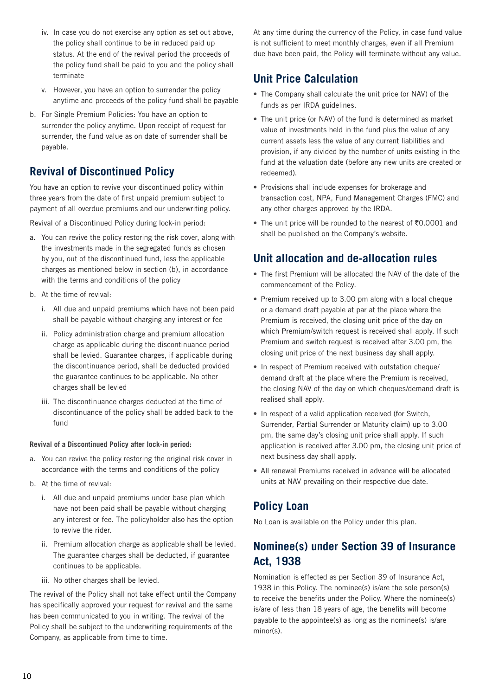- iv. In case you do not exercise any option as set out above, the policy shall continue to be in reduced paid up status. At the end of the revival period the proceeds of the policy fund shall be paid to you and the policy shall terminate
- v. However, you have an option to surrender the policy anytime and proceeds of the policy fund shall be payable
- b. For Single Premium Policies: You have an option to surrender the policy anytime. Upon receipt of request for surrender, the fund value as on date of surrender shall be payable.

### **Revival of Discontinued Policy**

You have an option to revive your discontinued policy within three years from the date of first unpaid premium subject to payment of all overdue premiums and our underwriting policy.

Revival of a Discontinued Policy during lock-in period:

- a. You can revive the policy restoring the risk cover, along with the investments made in the segregated funds as chosen by you, out of the discontinued fund, less the applicable charges as mentioned below in section (b), in accordance with the terms and conditions of the policy
- b. At the time of revival:
	- i. All due and unpaid premiums which have not been paid shall be payable without charging any interest or fee
	- ii. Policy administration charge and premium allocation charge as applicable during the discontinuance period shall be levied. Guarantee charges, if applicable during the discontinuance period, shall be deducted provided the guarantee continues to be applicable. No other charges shall be levied
	- iii. The discontinuance charges deducted at the time of discontinuance of the policy shall be added back to the fund

#### **Revival of a Discontinued Policy after lock-in period:**

- a. You can revive the policy restoring the original risk cover in accordance with the terms and conditions of the policy
- b. At the time of revival:
	- i. All due and unpaid premiums under base plan which have not been paid shall be payable without charging any interest or fee. The policyholder also has the option to revive the rider.
	- ii. Premium allocation charge as applicable shall be levied. The guarantee charges shall be deducted, if guarantee continues to be applicable.
	- iii. No other charges shall be levied.

The revival of the Policy shall not take effect until the Company has specifically approved your request for revival and the same has been communicated to you in writing. The revival of the Policy shall be subject to the underwriting requirements of the Company, as applicable from time to time.

At any time during the currency of the Policy, in case fund value is not sufficient to meet monthly charges, even if all Premium due have been paid, the Policy will terminate without any value.

### **Unit Price Calculation**

- **•** The Company shall calculate the unit price (or NAV) of the funds as per IRDA guidelines.
- **•** The unit price (or NAV) of the fund is determined as market value of investments held in the fund plus the value of any current assets less the value of any current liabilities and provision, if any divided by the number of units existing in the fund at the valuation date (before any new units are created or redeemed).
- **•** Provisions shall include expenses for brokerage and transaction cost, NPA, Fund Management Charges (FMC) and any other charges approved by the IRDA.
- The unit price will be rounded to the nearest of ₹0.0001 and shall be published on the Company's website.

### **Unit allocation and de-allocation rules**

- **•** The first Premium will be allocated the NAV of the date of the commencement of the Policy.
- **•** Premium received up to 3.00 pm along with a local cheque or a demand draft payable at par at the place where the Premium is received, the closing unit price of the day on which Premium/switch request is received shall apply. If such Premium and switch request is received after 3.00 pm, the closing unit price of the next business day shall apply.
- **•** In respect of Premium received with outstation cheque/ demand draft at the place where the Premium is received, the closing NAV of the day on which cheques/demand draft is realised shall apply.
- **•** In respect of a valid application received (for Switch, Surrender, Partial Surrender or Maturity claim) up to 3.00 pm, the same day's closing unit price shall apply. If such application is received after 3.00 pm, the closing unit price of next business day shall apply.
- **•** All renewal Premiums received in advance will be allocated units at NAV prevailing on their respective due date.

### **Policy Loan**

No Loan is available on the Policy under this plan.

### **Nominee(s) under Section 39 of Insurance Act, 1938**

Nomination is effected as per Section 39 of Insurance Act, 1938 in this Policy. The nominee(s) is/are the sole person(s) to receive the benefits under the Policy. Where the nominee(s) is/are of less than 18 years of age, the benefits will become payable to the appointee(s) as long as the nominee(s) is/are minor(s).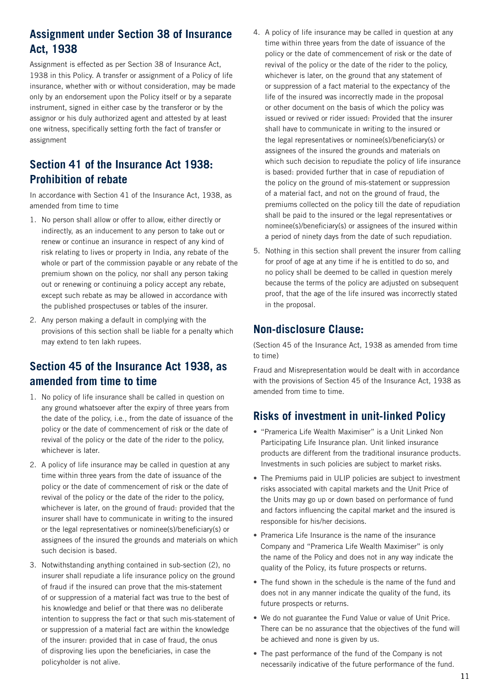# **Assignment under Section 38 of Insurance Act, 1938**

Assignment is effected as per Section 38 of Insurance Act, 1938 in this Policy. A transfer or assignment of a Policy of life insurance, whether with or without consideration, may be made only by an endorsement upon the Policy itself or by a separate instrument, signed in either case by the transferor or by the assignor or his duly authorized agent and attested by at least one witness, specifically setting forth the fact of transfer or assignment

# **Section 41 of the Insurance Act 1938: Prohibition of rebate**

In accordance with Section 41 of the Insurance Act, 1938, as amended from time to time

- 1. No person shall allow or offer to allow, either directly or indirectly, as an inducement to any person to take out or renew or continue an insurance in respect of any kind of risk relating to lives or property in India, any rebate of the whole or part of the commission payable or any rebate of the premium shown on the policy, nor shall any person taking out or renewing or continuing a policy accept any rebate, except such rebate as may be allowed in accordance with the published prospectuses or tables of the insurer.
- 2. Any person making a default in complying with the provisions of this section shall be liable for a penalty which may extend to ten lakh rupees.

# **Section 45 of the Insurance Act 1938, as amended from time to time**

- 1. No policy of life insurance shall be called in question on any ground whatsoever after the expiry of three years from the date of the policy, i.e., from the date of issuance of the policy or the date of commencement of risk or the date of revival of the policy or the date of the rider to the policy, whichever is later.
- 2. A policy of life insurance may be called in question at any time within three years from the date of issuance of the policy or the date of commencement of risk or the date of revival of the policy or the date of the rider to the policy, whichever is later, on the ground of fraud: provided that the insurer shall have to communicate in writing to the insured or the legal representatives or nominee(s)/beneficiary(s) or assignees of the insured the grounds and materials on which such decision is based.
- 3. Notwithstanding anything contained in sub-section (2), no insurer shall repudiate a life insurance policy on the ground of fraud if the insured can prove that the mis-statement of or suppression of a material fact was true to the best of his knowledge and belief or that there was no deliberate intention to suppress the fact or that such mis-statement of or suppression of a material fact are within the knowledge of the insurer: provided that in case of fraud, the onus of disproving lies upon the beneficiaries, in case the policyholder is not alive.
- 4. A policy of life insurance may be called in question at any time within three years from the date of issuance of the policy or the date of commencement of risk or the date of revival of the policy or the date of the rider to the policy, whichever is later, on the ground that any statement of or suppression of a fact material to the expectancy of the life of the insured was incorrectly made in the proposal or other document on the basis of which the policy was issued or revived or rider issued: Provided that the insurer shall have to communicate in writing to the insured or the legal representatives or nominee(s)/beneficiary(s) or assignees of the insured the grounds and materials on which such decision to repudiate the policy of life insurance is based: provided further that in case of repudiation of the policy on the ground of mis-statement or suppression of a material fact, and not on the ground of fraud, the premiums collected on the policy till the date of repudiation shall be paid to the insured or the legal representatives or nominee(s)/beneficiary(s) or assignees of the insured within a period of ninety days from the date of such repudiation.
- 5. Nothing in this section shall prevent the insurer from calling for proof of age at any time if he is entitled to do so, and no policy shall be deemed to be called in question merely because the terms of the policy are adjusted on subsequent proof, that the age of the life insured was incorrectly stated in the proposal.

### **Non-disclosure Clause:**

(Section 45 of the Insurance Act, 1938 as amended from time to time)

Fraud and Misrepresentation would be dealt with in accordance with the provisions of Section 45 of the Insurance Act, 1938 as amended from time to time.

# **Risks of investment in unit-linked Policy**

- **•** "Pramerica Life Wealth Maximiser" is a Unit Linked Non Participating Life Insurance plan. Unit linked insurance products are different from the traditional insurance products. Investments in such policies are subject to market risks.
- **•** The Premiums paid in ULIP policies are subject to investment risks associated with capital markets and the Unit Price of the Units may go up or down based on performance of fund and factors influencing the capital market and the insured is responsible for his/her decisions.
- **•** Pramerica Life Insurance is the name of the insurance Company and "Pramerica Life Wealth Maximiser" is only the name of the Policy and does not in any way indicate the quality of the Policy, its future prospects or returns.
- **•** The fund shown in the schedule is the name of the fund and does not in any manner indicate the quality of the fund, its future prospects or returns.
- **•** We do not guarantee the Fund Value or value of Unit Price. There can be no assurance that the objectives of the fund will be achieved and none is given by us.
- **•** The past performance of the fund of the Company is not necessarily indicative of the future performance of the fund.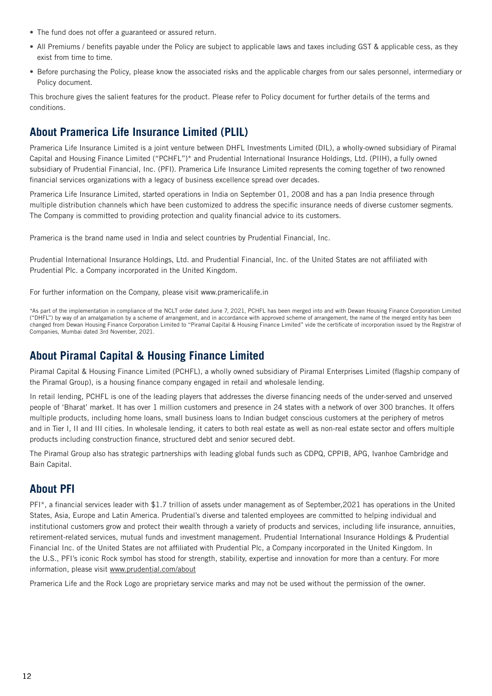- **•** The fund does not offer a guaranteed or assured return.
- **•** All Premiums / benefits payable under the Policy are subject to applicable laws and taxes including GST & applicable cess, as they exist from time to time.
- **•** Before purchasing the Policy, please know the associated risks and the applicable charges from our sales personnel, intermediary or Policy document.

This brochure gives the salient features for the product. Please refer to Policy document for further details of the terms and conditions.

# **About Pramerica Life Insurance Limited (PLIL)**

Pramerica Life Insurance Limited is a joint venture between DHFL Investments Limited (DIL), a wholly-owned subsidiary of Piramal Capital and Housing Finance Limited ("PCHFL")\* and Prudential International Insurance Holdings, Ltd. (PIIH), a fully owned subsidiary of Prudential Financial, Inc. (PFI). Pramerica Life Insurance Limited represents the coming together of two renowned financial services organizations with a legacy of business excellence spread over decades.

Pramerica Life Insurance Limited, started operations in India on September 01, 2008 and has a pan India presence through multiple distribution channels which have been customized to address the specific insurance needs of diverse customer segments. The Company is committed to providing protection and quality financial advice to its customers.

Pramerica is the brand name used in India and select countries by Prudential Financial, Inc.

Prudential International Insurance Holdings, Ltd. and Prudential Financial, Inc. of the United States are not affiliated with Prudential Plc. a Company incorporated in the United Kingdom.

For further information on the Company, please visit www.pramericalife.in

\*As part of the implementation in compliance of the NCLT order dated June 7, 2021, PCHFL has been merged into and with Dewan Housing Finance Corporation Limited ("DHFL") by way of an amalgamation by a scheme of arrangement, and in accordance with approved scheme of arrangement, the name of the merged entity has been changed from Dewan Housing Finance Corporation Limited to "Piramal Capital & Housing Finance Limited" vide the certificate of incorporation issued by the Registrar of Companies, Mumbai dated 3rd November, 2021.

### **About Piramal Capital & Housing Finance Limited**

Piramal Capital & Housing Finance Limited (PCHFL), a wholly owned subsidiary of Piramal Enterprises Limited (flagship company of the Piramal Group), is a housing finance company engaged in retail and wholesale lending.

In retail lending, PCHFL is one of the leading players that addresses the diverse financing needs of the under-served and unserved people of 'Bharat' market. It has over 1 million customers and presence in 24 states with a network of over 300 branches. It offers multiple products, including home loans, small business loans to Indian budget conscious customers at the periphery of metros and in Tier I, II and III cities. In wholesale lending, it caters to both real estate as well as non-real estate sector and offers multiple products including construction finance, structured debt and senior secured debt.

The Piramal Group also has strategic partnerships with leading global funds such as CDPQ, CPPIB, APG, Ivanhoe Cambridge and Bain Capital.

### **About PFI**

PFI\*, a financial services leader with \$1.7 trillion of assets under management as of September,2021 has operations in the United States, Asia, Europe and Latin America. Prudential's diverse and talented employees are committed to helping individual and institutional customers grow and protect their wealth through a variety of products and services, including life insurance, annuities, retirement-related services, mutual funds and investment management. Prudential International Insurance Holdings & Prudential Financial Inc. of the United States are not affiliated with Prudential Plc, a Company incorporated in the United Kingdom. In the U.S., PFI's iconic Rock symbol has stood for strength, stability, expertise and innovation for more than a century. For more information, please visit www.prudential.com/about

Pramerica Life and the Rock Logo are proprietary service marks and may not be used without the permission of the owner.